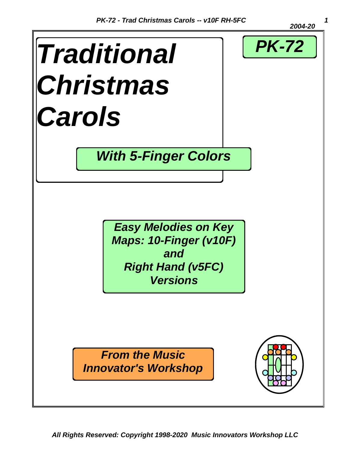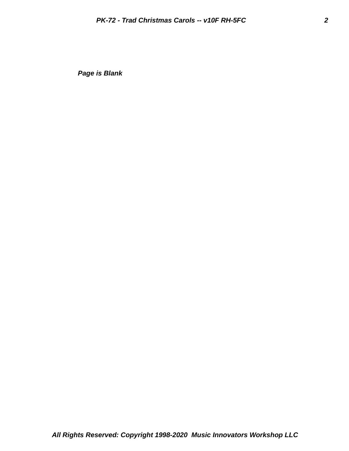*Page is Blank*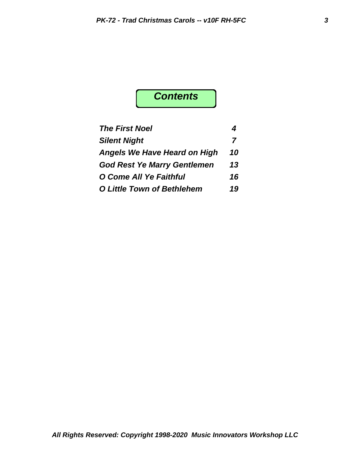# *Contents*

| <b>The First Noel</b><br><b>Silent Night</b><br><b>Angels We Have Heard on High</b><br><b>God Rest Ye Marry Gentlemen</b><br><b>O Come All Ye Faithful</b><br><b>O Little Town of Bethlehem</b> | 10<br>13<br>16<br>19 |
|-------------------------------------------------------------------------------------------------------------------------------------------------------------------------------------------------|----------------------|
|-------------------------------------------------------------------------------------------------------------------------------------------------------------------------------------------------|----------------------|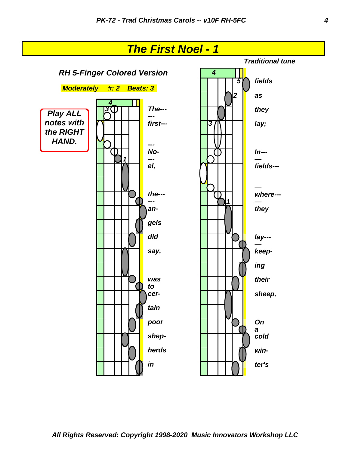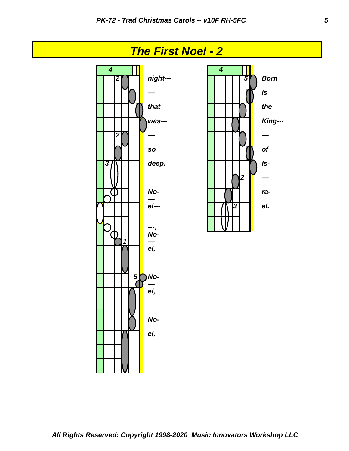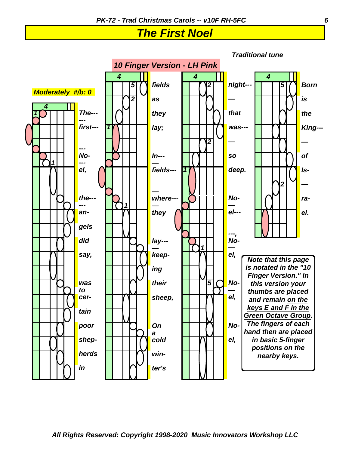## *The First Noel*

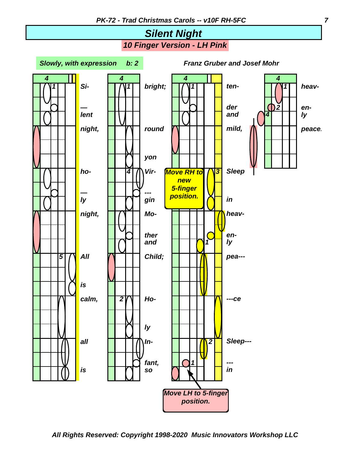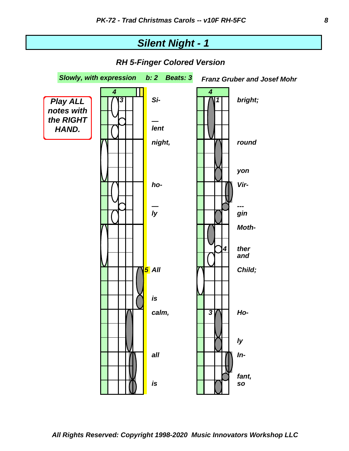### *Silent Night - 1*



#### *RH 5-Finger Colored Version*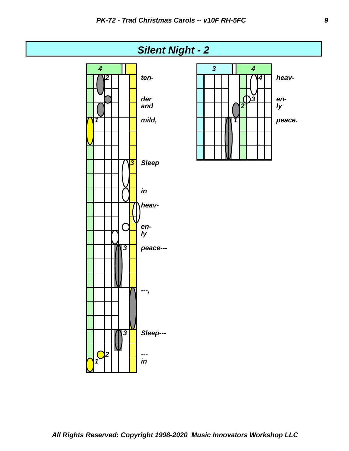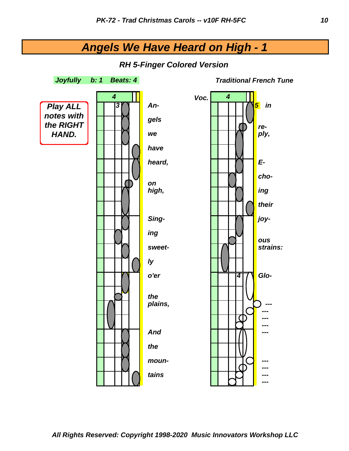## **Angels We Have Heard on High - 1**

**RH 5-Finger Colored Version** 

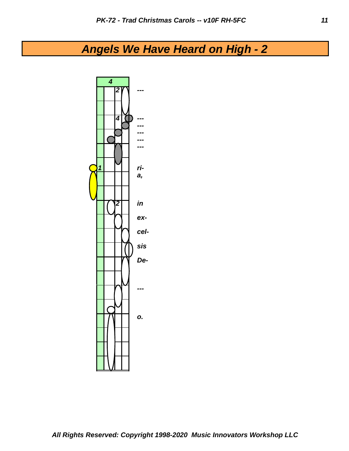**Angels We Have Heard on High - 2** 

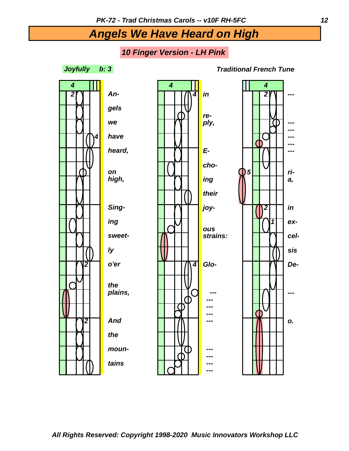### **Angels We Have Heard on High**

#### 10 Finger Version - LH Pink

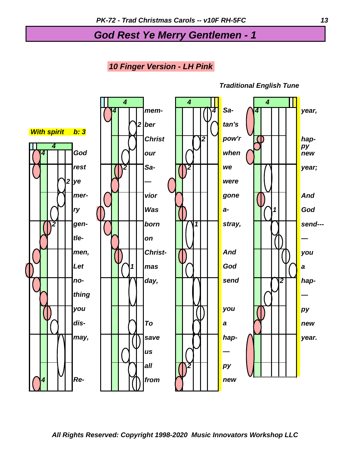### *God Rest Ye Merry Gentlemen - 1*

*10 Finger Version - LH Pink*



*All Rights Reserved: Copyright 1998-2020 Music Innovators Workshop LLC*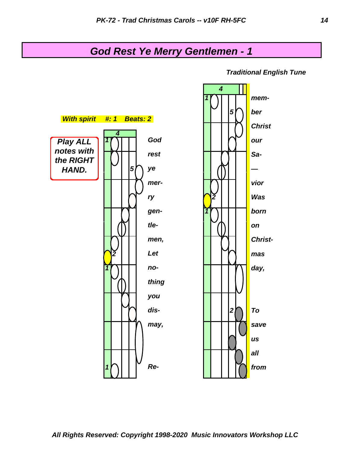*God Rest Ye Merry Gentlemen - 1*



*Traditional English Tune*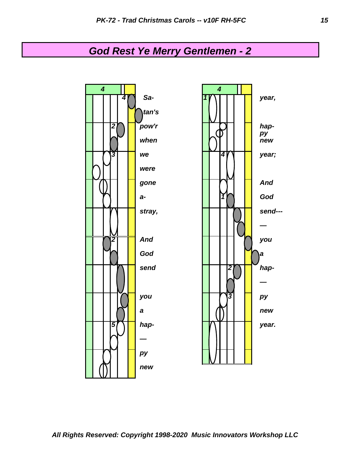*God Rest Ye Merry Gentlemen - 2*



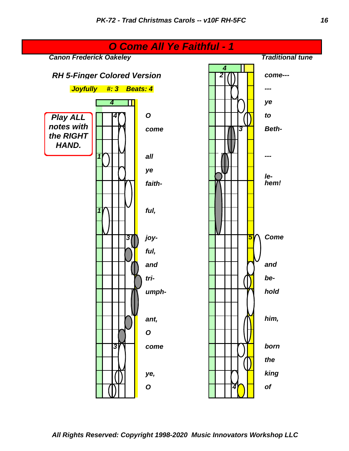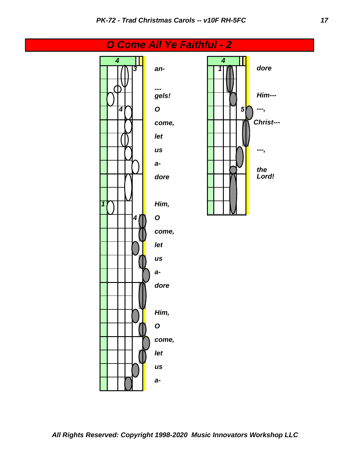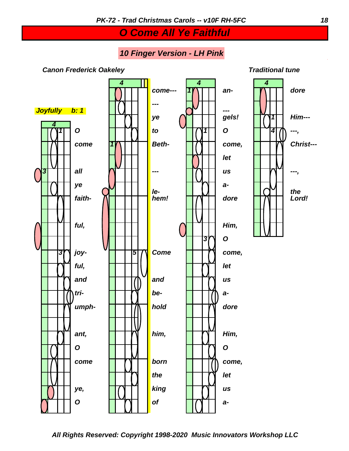*O Come All Ye Faithful*

*10 Finger Version - LH Pink*

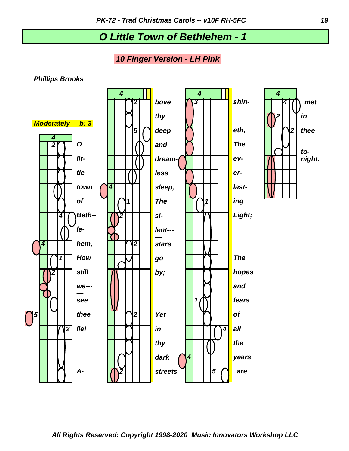### *O Little Town of Bethlehem - 1*

### *10 Finger Version - LH Pink*



*All Rights Reserved: Copyright 1998-2020 Music Innovators Workshop LLC*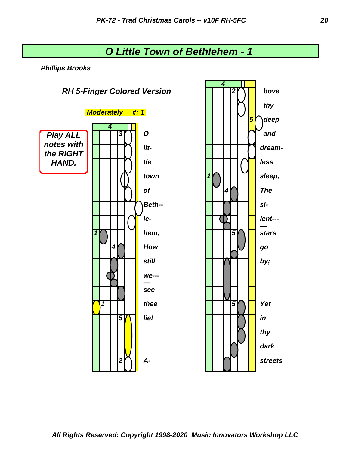### O Little Town of Bethlehem - 1

**Phillips Brooks** 



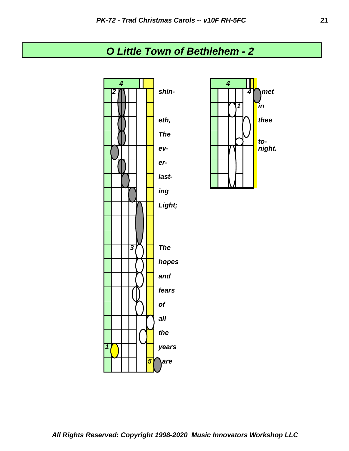### O Little Town of Bethlehem - 2